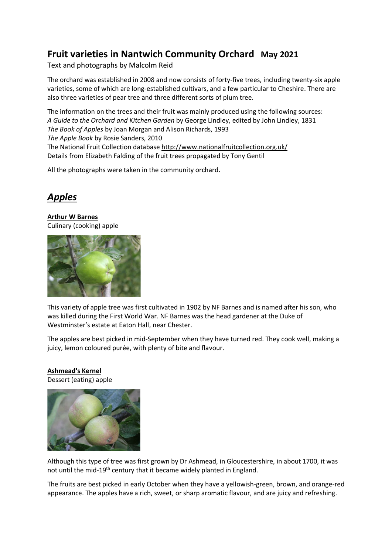# **Fruit varieties in Nantwich Community Orchard May 2021**

Text and photographs by Malcolm Reid

The orchard was established in 2008 and now consists of forty-five trees, including twenty-six apple varieties, some of which are long-established cultivars, and a few particular to Cheshire. There are also three varieties of pear tree and three different sorts of plum tree.

The information on the trees and their fruit was mainly produced using the following sources: *A Guide to the Orchard and Kitchen Garden* by George Lindley, edited by John Lindley, 1831 *The Book of Apples* by Joan Morgan and Alison Richards, 1993 *The Apple Book* by Rosie Sanders, 2010 The National Fruit Collection database <http://www.nationalfruitcollection.org.uk/> Details from Elizabeth Falding of the fruit trees propagated by Tony Gentil

All the photographs were taken in the community orchard.

# *Apples*

**Arthur W Barnes** Culinary (cooking) apple



This variety of apple tree was first cultivated in 1902 by NF Barnes and is named after his son, who was killed during the First World War. NF Barnes was the head gardener at the Duke of Westminster's estate at Eaton Hall, near Chester.

The apples are best picked in mid-September when they have turned red. They cook well, making a juicy, lemon coloured purée, with plenty of bite and flavour.

# **Ashmead's Kernel**

Dessert (eating) apple



Although this type of tree was first grown by Dr Ashmead, in Gloucestershire, in about 1700, it was not until the mid-19<sup>th</sup> century that it became widely planted in England.

The fruits are best picked in early October when they have a yellowish-green, brown, and orange-red appearance. The apples have a rich, sweet, or sharp aromatic flavour, and are juicy and refreshing.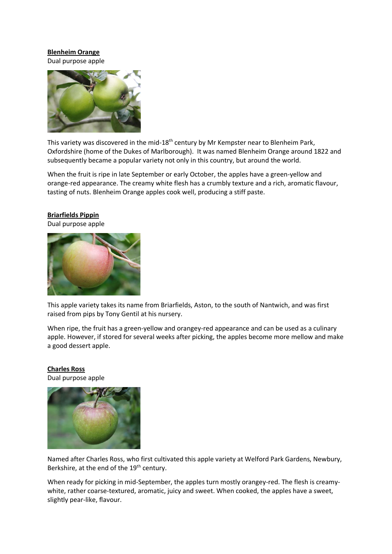## **Blenheim Orange**

Dual purpose apple



This variety was discovered in the mid-18<sup>th</sup> century by Mr Kempster near to Blenheim Park, Oxfordshire (home of the Dukes of Marlborough). It was named Blenheim Orange around 1822 and subsequently became a popular variety not only in this country, but around the world.

When the fruit is ripe in late September or early October, the apples have a green-yellow and orange-red appearance. The creamy white flesh has a crumbly texture and a rich, aromatic flavour, tasting of nuts. Blenheim Orange apples cook well, producing a stiff paste.

### **Briarfields Pippin**

Dual purpose apple



This apple variety takes its name from Briarfields, Aston, to the south of Nantwich, and was first raised from pips by Tony Gentil at his nursery.

When ripe, the fruit has a green-yellow and orangey-red appearance and can be used as a culinary apple. However, if stored for several weeks after picking, the apples become more mellow and make a good dessert apple.

# **Charles Ross**

Dual purpose apple



Named after Charles Ross, who first cultivated this apple variety at Welford Park Gardens, Newbury, Berkshire, at the end of the 19<sup>th</sup> century.

When ready for picking in mid-September, the apples turn mostly orangey-red. The flesh is creamywhite, rather coarse-textured, aromatic, juicy and sweet. When cooked, the apples have a sweet, slightly pear-like, flavour.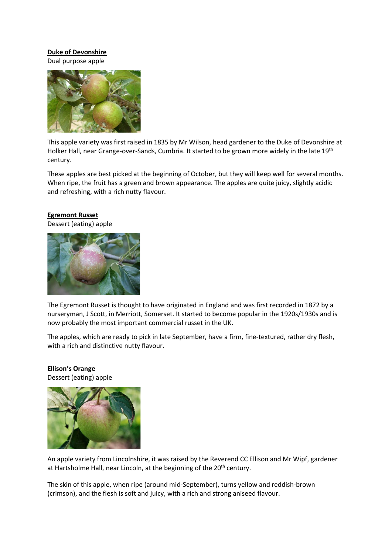## **Duke of Devonshire**

Dual purpose apple



This apple variety was first raised in 1835 by Mr Wilson, head gardener to the Duke of Devonshire at Holker Hall, near Grange-over-Sands, Cumbria. It started to be grown more widely in the late 19<sup>th</sup> century.

These apples are best picked at the beginning of October, but they will keep well for several months. When ripe, the fruit has a green and brown appearance. The apples are quite juicy, slightly acidic and refreshing, with a rich nutty flavour.

### **Egremont Russet**

Dessert (eating) apple



The Egremont Russet is thought to have originated in England and was first recorded in 1872 by a nurseryman, J Scott, in Merriott, Somerset. It started to become popular in the 1920s/1930s and is now probably the most important commercial russet in the UK.

The apples, which are ready to pick in late September, have a firm, fine-textured, rather dry flesh, with a rich and distinctive nutty flavour.

**Ellison's Orange** Dessert (eating) apple



An apple variety from Lincolnshire, it was raised by the Reverend CC Ellison and Mr Wipf, gardener at Hartsholme Hall, near Lincoln, at the beginning of the 20<sup>th</sup> century.

The skin of this apple, when ripe (around mid-September), turns yellow and reddish-brown (crimson), and the flesh is soft and juicy, with a rich and strong aniseed flavour.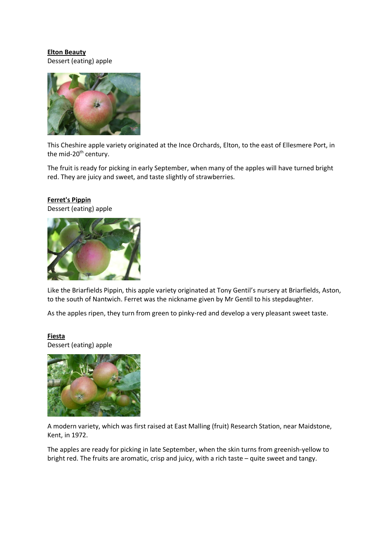# **Elton Beauty** Dessert (eating) apple



This Cheshire apple variety originated at the Ince Orchards, Elton, to the east of Ellesmere Port, in the mid-20<sup>th</sup> century.

The fruit is ready for picking in early September, when many of the apples will have turned bright red. They are juicy and sweet, and taste slightly of strawberries.

## **Ferret's Pippin** Dessert (eating) apple





Like the Briarfields Pippin, this apple variety originated at Tony Gentil's nursery at Briarfields, Aston, to the south of Nantwich. Ferret was the nickname given by Mr Gentil to his stepdaughter.

As the apples ripen, they turn from green to pinky-red and develop a very pleasant sweet taste.

# **Fiesta**

Dessert (eating) apple



A modern variety, which was first raised at East Malling (fruit) Research Station, near Maidstone, Kent, in 1972.

The apples are ready for picking in late September, when the skin turns from greenish-yellow to bright red. The fruits are aromatic, crisp and juicy, with a rich taste – quite sweet and tangy.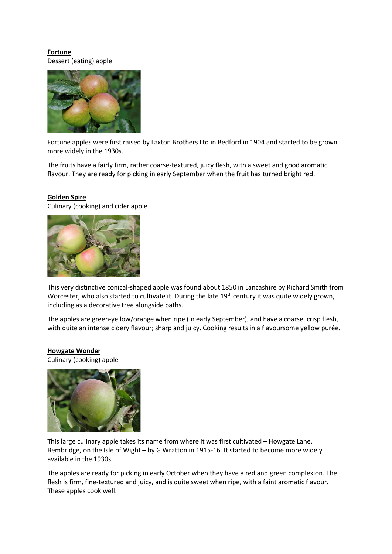**Fortune** Dessert (eating) apple



Fortune apples were first raised by Laxton Brothers Ltd in Bedford in 1904 and started to be grown more widely in the 1930s.

The fruits have a fairly firm, rather coarse-textured, juicy flesh, with a sweet and good aromatic flavour. They are ready for picking in early September when the fruit has turned bright red.

# **Golden Spire**

Culinary (cooking) and cider apple



This very distinctive conical-shaped apple was found about 1850 in Lancashire by Richard Smith from Worcester, who also started to cultivate it. During the late 19<sup>th</sup> century it was quite widely grown, including as a decorative tree alongside paths.

The apples are green-yellow/orange when ripe (in early September), and have a coarse, crisp flesh, with quite an intense cidery flavour; sharp and juicy. Cooking results in a flavoursome yellow purée.

## **Howgate Wonder**

Culinary (cooking) apple



This large culinary apple takes its name from where it was first cultivated – Howgate Lane, Bembridge, on the Isle of Wight – by G Wratton in 1915-16. It started to become more widely available in the 1930s.

The apples are ready for picking in early October when they have a red and green complexion. The flesh is firm, fine-textured and juicy, and is quite sweet when ripe, with a faint aromatic flavour. These apples cook well.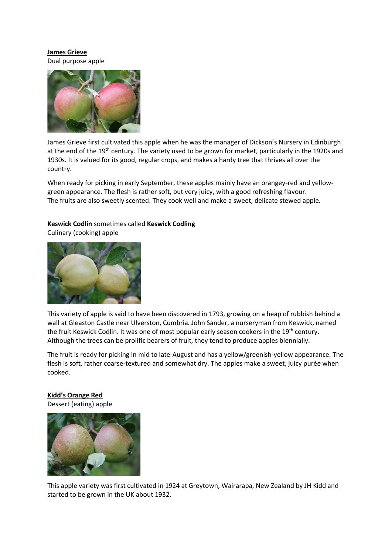## **James Grieve** Dual purpose apple



James Grieve first cultivated this apple when he was the manager of Dickson's Nursery in Edinburgh at the end of the 19<sup>th</sup> century. The variety used to be grown for market, particularly in the 1920s and 1930s. It is valued for its good, regular crops, and makes a hardy tree that thrives all over the country.

When ready for picking in early September, these apples mainly have an orangey-red and yellowgreen appearance. The flesh is rather soft, but very juicy, with a good refreshing flavour. The fruits are also sweetly scented. They cook well and make a sweet, delicate stewed apple.

# **Keswick Codlin** sometimes called **Keswick Codling**

Culinary (cooking) apple



This variety of apple is said to have been discovered in 1793, growing on a heap of rubbish behind a wall at Gleaston Castle near Ulverston, Cumbria. John Sander, a nurseryman from Keswick, named the fruit Keswick Codlin. It was one of most popular early season cookers in the 19<sup>th</sup> century. Although the trees can be prolific bearers of fruit, they tend to produce apples biennially.

The fruit is ready for picking in mid to late-August and has a yellow/greenish-yellow appearance. The flesh is soft, rather coarse-textured and somewhat dry. The apples make a sweet, juicy purée when cooked.

# **Kidd's Orange Red**

Dessert (eating) apple



This apple variety was first cultivated in 1924 at Greytown, Wairarapa, New Zealand by JH Kidd and started to be grown in the UK about 1932.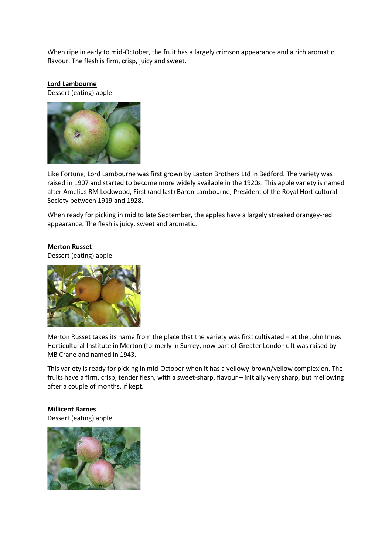When ripe in early to mid-October, the fruit has a largely crimson appearance and a rich aromatic flavour. The flesh is firm, crisp, juicy and sweet.

## **Lord Lambourne**

Dessert (eating) apple



Like Fortune, Lord Lambourne was first grown by Laxton Brothers Ltd in Bedford. The variety was raised in 1907 and started to become more widely available in the 1920s. This apple variety is named after Amelius RM Lockwood, First (and last) Baron Lambourne, President of the Royal Horticultural Society between 1919 and 1928.

When ready for picking in mid to late September, the apples have a largely streaked orangey-red appearance. The flesh is juicy, sweet and aromatic.

#### **Merton Russet**

Dessert (eating) apple



Merton Russet takes its name from the place that the variety was first cultivated – at the John Innes Horticultural Institute in Merton (formerly in Surrey, now part of Greater London). It was raised by MB Crane and named in 1943.

This variety is ready for picking in mid-October when it has a yellowy-brown/yellow complexion. The fruits have a firm, crisp, tender flesh, with a sweet-sharp, flavour – initially very sharp, but mellowing after a couple of months, if kept.

**Millicent Barnes** Dessert (eating) apple

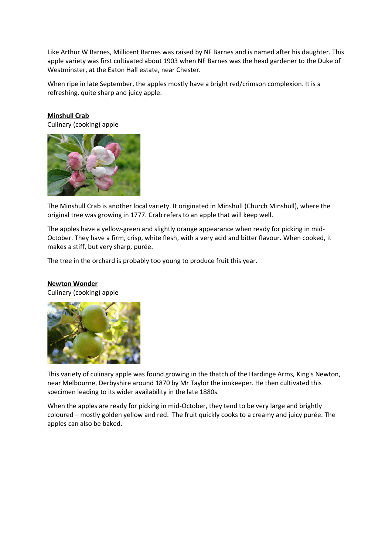Like Arthur W Barnes, Millicent Barnes was raised by NF Barnes and is named after his daughter. This apple variety was first cultivated about 1903 when NF Barnes was the head gardener to the Duke of Westminster, at the Eaton Hall estate, near Chester.

When ripe in late September, the apples mostly have a bright red/crimson complexion. It is a refreshing, quite sharp and juicy apple.

**Minshull Crab**

Culinary (cooking) apple



The Minshull Crab is another local variety. It originated in Minshull (Church Minshull), where the original tree was growing in 1777. Crab refers to an apple that will keep well.

The apples have a yellow-green and slightly orange appearance when ready for picking in mid-October. They have a firm, crisp, white flesh, with a very acid and bitter flavour. When cooked, it makes a stiff, but very sharp, purée.

The tree in the orchard is probably too young to produce fruit this year.

# **Newton Wonder**

Culinary (cooking) apple



This variety of culinary apple was found growing in the thatch of the Hardinge Arms, King's Newton, near Melbourne, Derbyshire around 1870 by Mr Taylor the innkeeper. He then cultivated this specimen leading to its wider availability in the late 1880s.

When the apples are ready for picking in mid-October, they tend to be very large and brightly coloured – mostly golden yellow and red. The fruit quickly cooks to a creamy and juicy purée. The apples can also be baked.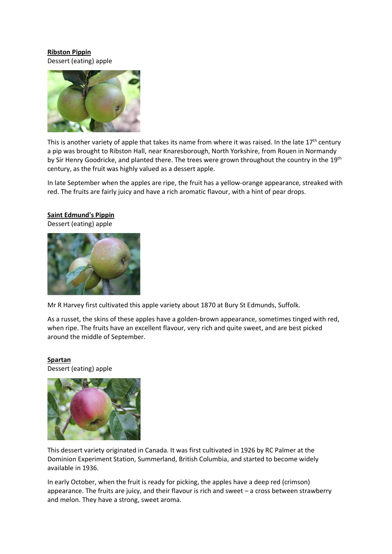# **Ribston Pippin** Dessert (eating) apple



This is another variety of apple that takes its name from where it was raised. In the late  $17<sup>th</sup>$  century a pip was brought to Ribston Hall, near Knaresborough, North Yorkshire, from Rouen in Normandy by Sir Henry Goodricke, and planted there. The trees were grown throughout the country in the 19<sup>th</sup> century, as the fruit was highly valued as a dessert apple.

In late September when the apples are ripe, the fruit has a yellow-orange appearance, streaked with red. The fruits are fairly juicy and have a rich aromatic flavour, with a hint of pear drops.

## **Saint Edmund's Pippin**

Dessert (eating) apple



Mr R Harvey first cultivated this apple variety about 1870 at Bury St Edmunds, Suffolk.

As a russet, the skins of these apples have a golden-brown appearance, sometimes tinged with red, when ripe. The fruits have an excellent flavour, very rich and quite sweet, and are best picked around the middle of September.

## **Spartan**

Dessert (eating) apple



This dessert variety originated in Canada. It was first cultivated in 1926 by RC Palmer at the Dominion Experiment Station, Summerland, British Columbia, and started to become widely available in 1936.

In early October, when the fruit is ready for picking, the apples have a deep red (crimson) appearance. The fruits are juicy, and their flavour is rich and sweet – a cross between strawberry and melon. They have a strong, sweet aroma.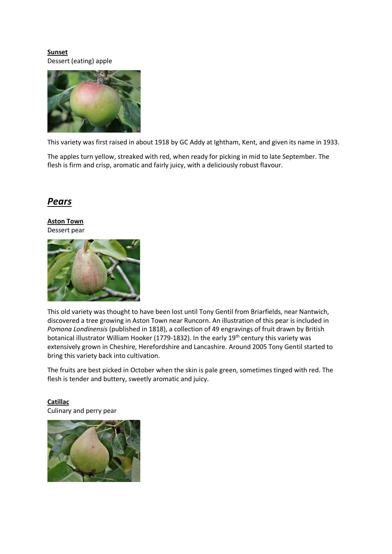**Sunset** Dessert (eating) apple



This variety was first raised in about 1918 by GC Addy at Ightham, Kent, and given its name in 1933.

The apples turn yellow, streaked with red, when ready for picking in mid to late September. The flesh is firm and crisp, aromatic and fairly juicy, with a deliciously robust flavour.

# *Pears*

**Aston Town** Dessert pear



This old variety was thought to have been lost until Tony Gentil from Briarfields, near Nantwich, discovered a tree growing in Aston Town near Runcorn. An illustration of this pear is included in *Pomona Londinensis* (published in 1818), a collection of 49 engravings of fruit drawn by British botanical illustrator William Hooker (1779-1832). In the early 19<sup>th</sup> century this variety was extensively grown in Cheshire, Herefordshire and Lancashire. Around 2005 Tony Gentil started to bring this variety back into cultivation.

The fruits are best picked in October when the skin is pale green, sometimes tinged with red. The flesh is tender and buttery, sweetly aromatic and juicy.

# **Catillac**

Culinary and perry pear

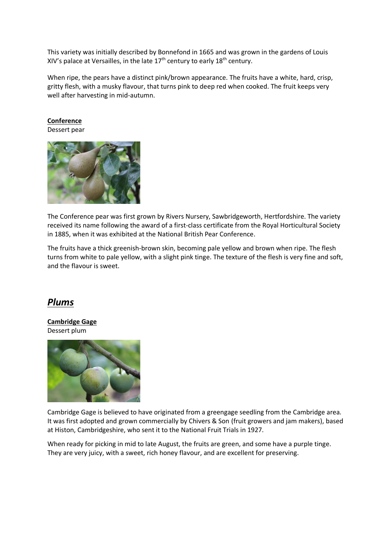This variety was initially described by Bonnefond in 1665 and was grown in the gardens of Louis XIV's palace at Versailles, in the late  $17<sup>th</sup>$  century to early  $18<sup>th</sup>$  century.

When ripe, the pears have a distinct pink/brown appearance. The fruits have a white, hard, crisp, gritty flesh, with a musky flavour, that turns pink to deep red when cooked. The fruit keeps very well after harvesting in mid-autumn.

**Conference**

Dessert pear



The Conference pear was first grown by Rivers Nursery, Sawbridgeworth, Hertfordshire. The variety received its name following the award of a first-class certificate from the Royal Horticultural Society in 1885, when it was exhibited at the National British Pear Conference.

The fruits have a thick greenish-brown skin, becoming pale yellow and brown when ripe. The flesh turns from white to pale yellow, with a slight pink tinge. The texture of the flesh is very fine and soft, and the flavour is sweet.

# *Plums*

**Cambridge Gage** Dessert plum



Cambridge Gage is believed to have originated from a greengage seedling from the Cambridge area. It was first adopted and grown commercially by Chivers & Son (fruit growers and jam makers), based at Histon, Cambridgeshire, who sent it to the National Fruit Trials in 1927.

When ready for picking in mid to late August, the fruits are green, and some have a purple tinge. They are very juicy, with a sweet, rich honey flavour, and are excellent for preserving.